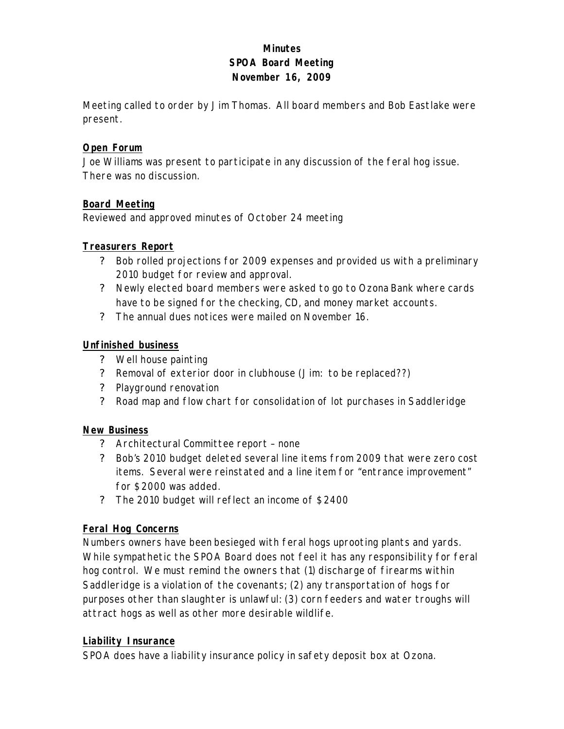## **Minutes SPOA Board Meeting November 16, 2009**

Meeting called to order by Jim Thomas. All board members and Bob Eastlake were present.

### **Open Forum**

Joe Williams was present to participate in any discussion of the feral hog issue. There was no discussion.

### **Board Meeting**

Reviewed and approved minutes of October 24 meeting

### **Treasurers Report**

- ? Bob rolled projections for 2009 expenses and provided us with a preliminary 2010 budget for review and approval.
- ? Newly elected board members were asked to go to Ozona Bank where cards have to be signed for the checking, CD, and money market accounts.
- ? The annual dues notices were mailed on November 16.

#### **Unfinished business**

- ? Well house painting
- ? Removal of exterior door in clubhouse (Jim: to be replaced??)
- ? Playground renovation
- ? Road map and flow chart for consolidation of lot purchases in Saddleridge

### **New Business**

- ? Architectural Committee report none
- ? Bob's 2010 budget deleted several line items from 2009 that were zero cost items. Several were reinstated and a line item for "entrance improvement" for \$2000 was added.
- ? The 2010 budget will reflect an income of \$2400

### **Feral Hog Concerns**

Numbers owners have been besieged with feral hogs uprooting plants and yards. While sympathetic the SPOA Board does not feel it has any responsibility for feral hog control. We must remind the owners that (1) discharge of firearms within Saddleridge is a violation of the covenants; (2) any transportation of hogs for purposes other than slaughter is unlawful: (3) corn feeders and water troughs will attract hogs as well as other more desirable wildlife.

### **Liability Insurance**

SPOA does have a liability insurance policy in safety deposit box at Ozona.